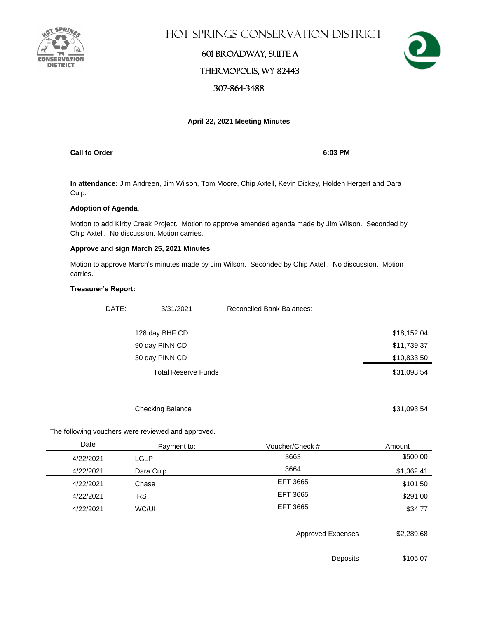

## **HOT SPRINGS CONSERVATION DISTRICT**

# 601 Broadway, Suite A Thermopolis, WY 82443 307-864-3488



### **April 22, 2021 Meeting Minutes**

**Call to Order 6:03 PM**

**In attendance:** Jim Andreen, Jim Wilson, Tom Moore, Chip Axtell, Kevin Dickey, Holden Hergert and Dara Culp.

#### **Adoption of Agenda**.

Motion to add Kirby Creek Project. Motion to approve amended agenda made by Jim Wilson. Seconded by Chip Axtell. No discussion. Motion carries.

#### **Approve and sign March 25, 2021 Minutes**

Motion to approve March's minutes made by Jim Wilson. Seconded by Chip Axtell. No discussion. Motion carries.

#### **Treasurer's Report:**

| DATE: | 3/31/2021                  | <b>Reconciled Bank Balances:</b> |             |
|-------|----------------------------|----------------------------------|-------------|
|       | 128 day BHF CD             |                                  | \$18,152.04 |
|       | 90 day PINN CD             |                                  | \$11,739.37 |
|       | 30 day PINN CD             |                                  | \$10,833.50 |
|       | <b>Total Reserve Funds</b> |                                  | \$31,093.54 |

### Checking Balance \$31,093.54

The following vouchers were reviewed and approved.

| Date      | Payment to: | Voucher/Check # | Amount     |
|-----------|-------------|-----------------|------------|
| 4/22/2021 | LGLP        | 3663            | \$500.00   |
| 4/22/2021 | Dara Culp   | 3664            | \$1,362.41 |
| 4/22/2021 | Chase       | EFT 3665        | \$101.50   |
| 4/22/2021 | <b>IRS</b>  | EFT 3665        | \$291.00   |
| 4/22/2021 | WC/UI       | EFT 3665        | \$34.77    |

Approved Expenses \_\_\_\_\_\_\_\_\_ \$2,289.68

Deposits \$105.07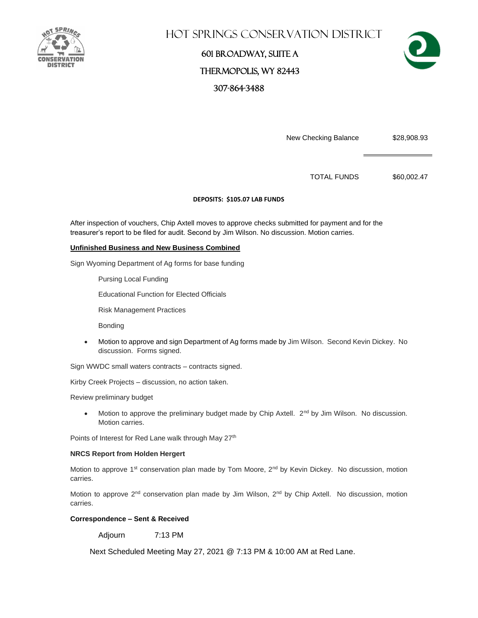

### Hot Springs Conservation District

# 601 Broadway, Suite A Thermopolis, WY 82443 307-864-3488



New Checking Balance \$28,908.93

TOTAL FUNDS \$60,002.47

### **DEPOSITS: \$105.07 LAB FUNDS**

After inspection of vouchers, Chip Axtell moves to approve checks submitted for payment and for the treasurer's report to be filed for audit. Second by Jim Wilson. No discussion. Motion carries.

### **Unfinished Business and New Business Combined**

Sign Wyoming Department of Ag forms for base funding

Pursing Local Funding

Educational Function for Elected Officials

Risk Management Practices

Bonding

• Motion to approve and sign Department of Ag forms made by Jim Wilson. Second Kevin Dickey. No discussion. Forms signed.

Sign WWDC small waters contracts – contracts signed.

Kirby Creek Projects – discussion, no action taken.

Review preliminary budget

• Motion to approve the preliminary budget made by Chip Axtell. 2<sup>nd</sup> by Jim Wilson. No discussion. Motion carries.

Points of Interest for Red Lane walk through May 27<sup>th</sup>

#### **NRCS Report from Holden Hergert**

Motion to approve 1<sup>st</sup> conservation plan made by Tom Moore, 2<sup>nd</sup> by Kevin Dickey. No discussion, motion carries.

Motion to approve 2<sup>nd</sup> conservation plan made by Jim Wilson, 2<sup>nd</sup> by Chip Axtell. No discussion, motion carries.

### **Correspondence – Sent & Received**

Adjourn 7:13 PM

Next Scheduled Meeting May 27, 2021 @ 7:13 PM & 10:00 AM at Red Lane.